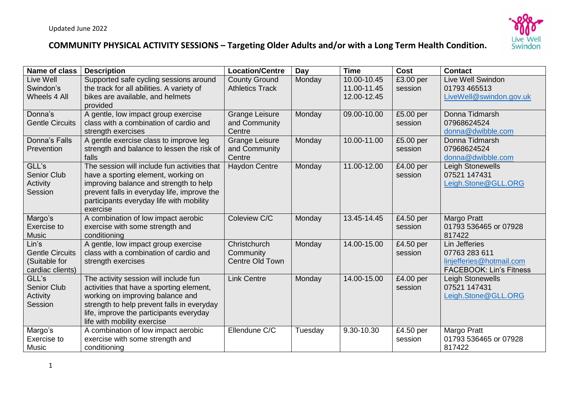

| <b>Name of class</b>           | <b>Description</b>                                                            | <b>Location/Centre</b>                         | Day     | <b>Time</b>                | <b>Cost</b>          | <b>Contact</b>                                     |
|--------------------------------|-------------------------------------------------------------------------------|------------------------------------------------|---------|----------------------------|----------------------|----------------------------------------------------|
| Live Well<br>Swindon's         | Supported safe cycling sessions around                                        | <b>County Ground</b><br><b>Athletics Track</b> | Monday  | 10.00-10.45<br>11.00-11.45 | £3.00 per<br>session | Live Well Swindon<br>01793 465513                  |
| Wheels 4 All                   | the track for all abilities. A variety of<br>bikes are available, and helmets |                                                |         | 12.00-12.45                |                      | LiveWell@swindon.gov.uk                            |
|                                | provided                                                                      |                                                |         |                            |                      |                                                    |
| Donna's                        | A gentle, low impact group exercise                                           | <b>Grange Leisure</b>                          | Monday  | 09.00-10.00                | £5.00 per            | Donna Tidmarsh                                     |
| <b>Gentle Circuits</b>         | class with a combination of cardio and                                        | and Community<br>Centre                        |         |                            | session              | 07968624524                                        |
| Donna's Falls                  | strength exercises<br>A gentle exercise class to improve leg                  | <b>Grange Leisure</b>                          | Monday  | 10.00-11.00                | £5.00 per            | donna@dwibble.com<br>Donna Tidmarsh                |
| Prevention                     | strength and balance to lessen the risk of                                    | and Community                                  |         |                            | session              | 07968624524                                        |
|                                | falls                                                                         | Centre                                         |         |                            |                      | donna@dwibble.com                                  |
| GLL's                          | The session will include fun activities that                                  | <b>Haydon Centre</b>                           | Monday  | 11.00-12.00                | £4.00 per            | Leigh Stonewells                                   |
| <b>Senior Club</b><br>Activity | have a sporting element, working on<br>improving balance and strength to help |                                                |         |                            | session              | 07521 147431<br>Leigh.Stone@GLL.ORG                |
| Session                        | prevent falls in everyday life, improve the                                   |                                                |         |                            |                      |                                                    |
|                                | participants everyday life with mobility                                      |                                                |         |                            |                      |                                                    |
|                                | exercise                                                                      |                                                |         |                            |                      |                                                    |
| Margo's                        | A combination of low impact aerobic                                           | Coleview C/C                                   | Monday  | 13.45-14.45                | £4.50 per            | Margo Pratt                                        |
| Exercise to<br><b>Music</b>    | exercise with some strength and<br>conditioning                               |                                                |         |                            | session              | 01793 536465 or 07928<br>817422                    |
| Lin's                          | A gentle, low impact group exercise                                           | Christchurch                                   | Monday  | 14.00-15.00                | £4.50 per            | Lin Jefferies                                      |
| <b>Gentle Circuits</b>         | class with a combination of cardio and                                        | Community                                      |         |                            | session              | 07763 283 611                                      |
| (Suitable for                  | strength exercises                                                            | Centre Old Town                                |         |                            |                      | linjefferies@hotmail.com                           |
| cardiac clients)<br>GLL's      | The activity session will include fun                                         | <b>Link Centre</b>                             | Monday  | 14.00-15.00                | £4.00 per            | <b>FACEBOOK: Lin's Fitness</b><br>Leigh Stonewells |
| <b>Senior Club</b>             | activities that have a sporting element,                                      |                                                |         |                            | session              | 07521 147431                                       |
| Activity                       | working on improving balance and                                              |                                                |         |                            |                      | Leigh.Stone@GLL.ORG                                |
| Session                        | strength to help prevent falls in everyday                                    |                                                |         |                            |                      |                                                    |
|                                | life, improve the participants everyday                                       |                                                |         |                            |                      |                                                    |
| Margo's                        | life with mobility exercise<br>A combination of low impact aerobic            | Ellendune C/C                                  | Tuesday | 9.30-10.30                 | £4.50 per            | Margo Pratt                                        |
| Exercise to                    | exercise with some strength and                                               |                                                |         |                            | session              | 01793 536465 or 07928                              |
| <b>Music</b>                   | conditioning                                                                  |                                                |         |                            |                      | 817422                                             |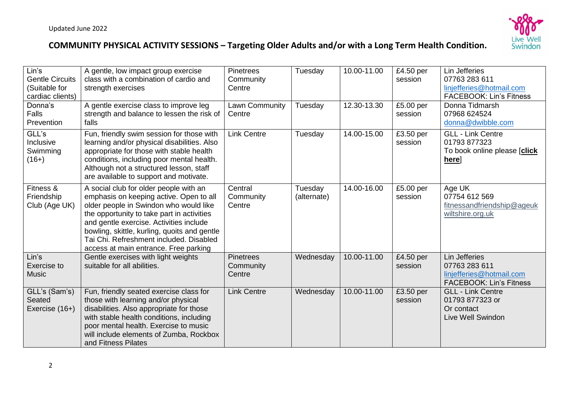

| Lin's<br><b>Gentle Circuits</b><br>(Suitable for<br>cardiac clients)<br>Donna's<br>Falls<br>Prevention | A gentle, low impact group exercise<br>class with a combination of cardio and<br>strength exercises<br>A gentle exercise class to improve leg<br>strength and balance to lessen the risk of<br>falls                                                                                                                                                     | <b>Pinetrees</b><br>Community<br>Centre<br>Lawn Community<br>Centre | Tuesday<br>Tuesday     | 10.00-11.00<br>12.30-13.30 | £4.50 per<br>session<br>£5.00 per<br>session | Lin Jefferies<br>07763 283 611<br>linjefferies@hotmail.com<br><b>FACEBOOK: Lin's Fitness</b><br>Donna Tidmarsh<br>07968 624524<br>donna@dwibble.com |
|--------------------------------------------------------------------------------------------------------|----------------------------------------------------------------------------------------------------------------------------------------------------------------------------------------------------------------------------------------------------------------------------------------------------------------------------------------------------------|---------------------------------------------------------------------|------------------------|----------------------------|----------------------------------------------|-----------------------------------------------------------------------------------------------------------------------------------------------------|
| GLL's<br>Inclusive<br>Swimming<br>$(16+)$                                                              | Fun, friendly swim session for those with<br>learning and/or physical disabilities. Also<br>appropriate for those with stable health<br>conditions, including poor mental health.<br>Although not a structured lesson, staff<br>are available to support and motivate.                                                                                   | <b>Link Centre</b>                                                  | Tuesday                | 14.00-15.00                | £3.50 per<br>session                         | <b>GLL - Link Centre</b><br>01793877323<br>To book online please [click<br>here]                                                                    |
| Fitness &<br>Friendship<br>Club (Age UK)                                                               | A social club for older people with an<br>emphasis on keeping active. Open to all<br>older people in Swindon who would like<br>the opportunity to take part in activities<br>and gentle exercise. Activities include<br>bowling, skittle, kurling, quoits and gentle<br>Tai Chi. Refreshment included. Disabled<br>access at main entrance. Free parking | Central<br>Community<br>Centre                                      | Tuesday<br>(alternate) | 14.00-16.00                | £5.00 per<br>session                         | Age UK<br>07754 612 569<br>fitnessandfriendship@ageuk<br>wiltshire.org.uk                                                                           |
| Lin's<br>Exercise to<br><b>Music</b>                                                                   | Gentle exercises with light weights<br>suitable for all abilities.                                                                                                                                                                                                                                                                                       | <b>Pinetrees</b><br>Community<br>Centre                             | Wednesday              | 10.00-11.00                | £4.50 per<br>session                         | Lin Jefferies<br>07763 283 611<br>linjefferies@hotmail.com<br><b>FACEBOOK: Lin's Fitness</b>                                                        |
| GLL's (Sam's)<br>Seated<br>Exercise (16+)                                                              | Fun, friendly seated exercise class for<br>those with learning and/or physical<br>disabilities. Also appropriate for those<br>with stable health conditions, including<br>poor mental health. Exercise to music<br>will include elements of Zumba, Rockbox<br>and Fitness Pilates                                                                        | <b>Link Centre</b>                                                  | Wednesday              | 10.00-11.00                | £3.50 per<br>session                         | <b>GLL - Link Centre</b><br>01793 877323 or<br>Or contact<br>Live Well Swindon                                                                      |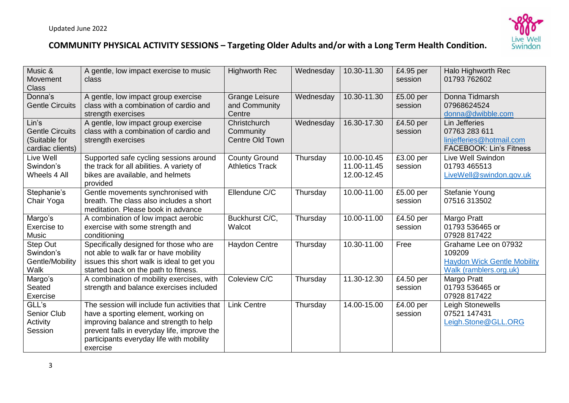

| Music &<br>Movement<br><b>Class</b>                                  | A gentle, low impact exercise to music<br>class                                                                                                                                                                                      | <b>Highworth Rec</b>                             | Wednesday | 10.30-11.30                               | £4.95 per<br>session | Halo Highworth Rec<br>01793 762602                                                             |
|----------------------------------------------------------------------|--------------------------------------------------------------------------------------------------------------------------------------------------------------------------------------------------------------------------------------|--------------------------------------------------|-----------|-------------------------------------------|----------------------|------------------------------------------------------------------------------------------------|
| Donna's<br><b>Gentle Circuits</b>                                    | A gentle, low impact group exercise<br>class with a combination of cardio and<br>strength exercises                                                                                                                                  | <b>Grange Leisure</b><br>and Community<br>Centre | Wednesday | 10.30-11.30                               | £5.00 per<br>session | Donna Tidmarsh<br>07968624524<br>donna@dwibble.com                                             |
| Lin's<br><b>Gentle Circuits</b><br>(Suitable for<br>cardiac clients) | A gentle, low impact group exercise<br>class with a combination of cardio and<br>strength exercises                                                                                                                                  | Christchurch<br>Community<br>Centre Old Town     | Wednesday | 16.30-17.30                               | £4.50 per<br>session | Lin Jefferies<br>07763 283 611<br>linjefferies@hotmail.com<br><b>FACEBOOK: Lin's Fitness</b>   |
| Live Well<br>Swindon's<br>Wheels 4 All                               | Supported safe cycling sessions around<br>the track for all abilities. A variety of<br>bikes are available, and helmets<br>provided                                                                                                  | <b>County Ground</b><br><b>Athletics Track</b>   | Thursday  | 10.00-10.45<br>11.00-11.45<br>12.00-12.45 | £3.00 per<br>session | Live Well Swindon<br>01793 465513<br>LiveWell@swindon.gov.uk                                   |
| Stephanie's<br>Chair Yoga                                            | Gentle movements synchronised with<br>breath. The class also includes a short<br>meditation. Please book in advance                                                                                                                  | Ellendune C/C                                    | Thursday  | 10.00-11.00                               | £5.00 per<br>session | Stefanie Young<br>07516 313502                                                                 |
| Margo's<br>Exercise to<br><b>Music</b>                               | A combination of low impact aerobic<br>exercise with some strength and<br>conditioning                                                                                                                                               | Buckhurst C/C,<br>Walcot                         | Thursday  | 10.00-11.00                               | £4.50 per<br>session | Margo Pratt<br>01793 536465 or<br>07928 817422                                                 |
| <b>Step Out</b><br>Swindon's<br>Gentle/Mobility<br>Walk              | Specifically designed for those who are<br>not able to walk far or have mobility<br>issues this short walk is ideal to get you<br>started back on the path to fitness.                                                               | <b>Haydon Centre</b>                             | Thursday  | 10.30-11.00                               | Free                 | Grahame Lee on 07932<br>109209<br><b>Haydon Wick Gentle Mobility</b><br>Walk (ramblers.org.uk) |
| Margo's<br>Seated<br>Exercise                                        | A combination of mobility exercises, with<br>strength and balance exercises included                                                                                                                                                 | Coleview C/C                                     | Thursday  | 11.30-12.30                               | £4.50 per<br>session | Margo Pratt<br>01793 536465 or<br>07928 817422                                                 |
| GLL's<br>Senior Club<br>Activity<br>Session                          | The session will include fun activities that<br>have a sporting element, working on<br>improving balance and strength to help<br>prevent falls in everyday life, improve the<br>participants everyday life with mobility<br>exercise | <b>Link Centre</b>                               | Thursday  | 14.00-15.00                               | £4.00 per<br>session | Leigh Stonewells<br>07521 147431<br>Leigh.Stone@GLL.ORG                                        |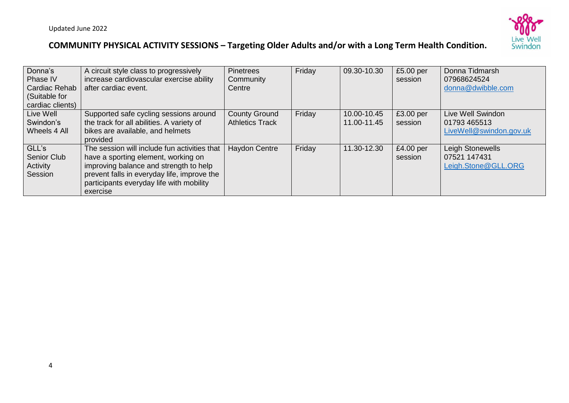

| Donna's          | A circuit style class to progressively       | <b>Pinetrees</b>       | Friday | 09.30-10.30 | £5.00 per | Donna Tidmarsh          |
|------------------|----------------------------------------------|------------------------|--------|-------------|-----------|-------------------------|
| Phase IV         | increase cardiovascular exercise ability     | Community              |        |             | session   | 07968624524             |
| Cardiac Rehab    | after cardiac event.                         | Centre                 |        |             |           | donna@dwibble.com       |
| (Suitable for    |                                              |                        |        |             |           |                         |
| cardiac clients) |                                              |                        |        |             |           |                         |
| Live Well        | Supported safe cycling sessions around       | <b>County Ground</b>   | Friday | 10.00-10.45 | £3.00 per | Live Well Swindon       |
| Swindon's        | the track for all abilities. A variety of    | <b>Athletics Track</b> |        | 11.00-11.45 | session   | 01793 465513            |
| Wheels 4 All     | bikes are available, and helmets             |                        |        |             |           | LiveWell@swindon.gov.uk |
|                  | provided                                     |                        |        |             |           |                         |
| GLL's            | The session will include fun activities that | Haydon Centre          | Friday | 11.30-12.30 | £4.00 per | Leigh Stonewells        |
| Senior Club      | have a sporting element, working on          |                        |        |             | session   | 07521 147431            |
| Activity         | improving balance and strength to help       |                        |        |             |           | Leigh.Stone@GLL.ORG     |
| Session          | prevent falls in everyday life, improve the  |                        |        |             |           |                         |
|                  | participants everyday life with mobility     |                        |        |             |           |                         |
|                  | exercise                                     |                        |        |             |           |                         |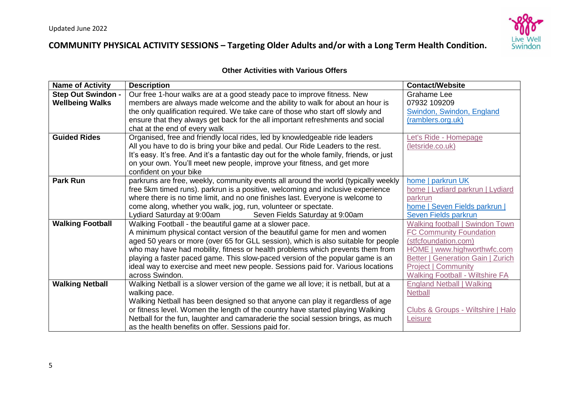

#### **Other Activities with Various Offers**

| <b>Name of Activity</b>   | <b>Description</b>                                                                        | <b>Contact/Website</b>                   |
|---------------------------|-------------------------------------------------------------------------------------------|------------------------------------------|
| <b>Step Out Swindon -</b> | Our free 1-hour walks are at a good steady pace to improve fitness. New                   | <b>Grahame Lee</b>                       |
| <b>Wellbeing Walks</b>    | members are always made welcome and the ability to walk for about an hour is              | 07932 109209                             |
|                           | the only qualification required. We take care of those who start off slowly and           | Swindon, Swindon, England                |
|                           | ensure that they always get back for the all important refreshments and social            | (ramblers.org.uk)                        |
|                           | chat at the end of every walk                                                             |                                          |
| <b>Guided Rides</b>       | Organised, free and friendly local rides, led by knowledgeable ride leaders               | Let's Ride - Homepage                    |
|                           | All you have to do is bring your bike and pedal. Our Ride Leaders to the rest.            | (letsride.co.uk)                         |
|                           | It's easy. It's free. And it's a fantastic day out for the whole family, friends, or just |                                          |
|                           | on your own. You'll meet new people, improve your fitness, and get more                   |                                          |
|                           | confident on your bike                                                                    |                                          |
| <b>Park Run</b>           | parkruns are free, weekly, community events all around the world (typically weekly        | home   parkrun UK                        |
|                           | free 5km timed runs). parkrun is a positive, welcoming and inclusive experience           | home   Lydiard parkrun   Lydiard         |
|                           | where there is no time limit, and no one finishes last. Everyone is welcome to            | parkrun                                  |
|                           | come along, whether you walk, jog, run, volunteer or spectate.                            | home   Seven Fields parkrun              |
|                           | Seven Fields Saturday at 9:00am<br>Lydiard Saturday at 9:00am                             | <b>Seven Fields parkrun</b>              |
| <b>Walking Football</b>   | Walking Football - the beautiful game at a slower pace.                                   | <b>Walking football   Swindon Town</b>   |
|                           | A minimum physical contact version of the beautiful game for men and women                | <b>FC Community Foundation</b>           |
|                           | aged 50 years or more (over 65 for GLL session), which is also suitable for people        | (stfcfoundation.com)                     |
|                           | who may have had mobility, fitness or health problems which prevents them from            | HOME   www.highworthwfc.com              |
|                           | playing a faster paced game. This slow-paced version of the popular game is an            | <b>Better   Generation Gain   Zurich</b> |
|                           | ideal way to exercise and meet new people. Sessions paid for. Various locations           | <b>Project   Community</b>               |
|                           | across Swindon.                                                                           | <b>Walking Football - Wiltshire FA</b>   |
| <b>Walking Netball</b>    | Walking Netball is a slower version of the game we all love; it is netball, but at a      | <b>England Netball   Walking</b>         |
|                           | walking pace.                                                                             | <b>Netball</b>                           |
|                           | Walking Netball has been designed so that anyone can play it regardless of age            |                                          |
|                           | or fitness level. Women the length of the country have started playing Walking            | Clubs & Groups - Wiltshire   Halo        |
|                           | Netball for the fun, laughter and camaraderie the social session brings, as much          | Leisure                                  |
|                           | as the health benefits on offer. Sessions paid for.                                       |                                          |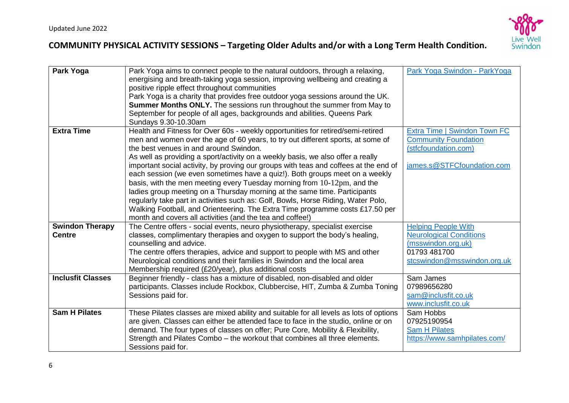

| Park Yoga                               | Park Yoga aims to connect people to the natural outdoors, through a relaxing,<br>energising and breath-taking yoga session, improving wellbeing and creating a<br>positive ripple effect throughout communities<br>Park Yoga is a charity that provides free outdoor yoga sessions around the UK.<br><b>Summer Months ONLY.</b> The sessions run throughout the summer from May to<br>September for people of all ages, backgrounds and abilities. Queens Park<br>Sundays 9.30-10.30am                                                                                                                                                                                                                                                                                                                                                                            | Park Yoga Swindon - ParkYoga                                                                                                      |
|-----------------------------------------|-------------------------------------------------------------------------------------------------------------------------------------------------------------------------------------------------------------------------------------------------------------------------------------------------------------------------------------------------------------------------------------------------------------------------------------------------------------------------------------------------------------------------------------------------------------------------------------------------------------------------------------------------------------------------------------------------------------------------------------------------------------------------------------------------------------------------------------------------------------------|-----------------------------------------------------------------------------------------------------------------------------------|
| <b>Extra Time</b>                       | Health and Fitness for Over 60s - weekly opportunities for retired/semi-retired<br>men and women over the age of 60 years, to try out different sports, at some of<br>the best venues in and around Swindon.<br>As well as providing a sport/activity on a weekly basis, we also offer a really<br>important social activity, by proving our groups with teas and coffees at the end of<br>each session (we even sometimes have a quiz!). Both groups meet on a weekly<br>basis, with the men meeting every Tuesday morning from 10-12pm, and the<br>ladies group meeting on a Thursday morning at the same time. Participants<br>regularly take part in activities such as: Golf, Bowls, Horse Riding, Water Polo,<br>Walking Football, and Orienteering. The Extra Time programme costs £17.50 per<br>month and covers all activities (and the tea and coffee!) | Extra Time   Swindon Town FC<br><b>Community Foundation</b><br>(stfcfoundation.com)<br>james.s@STFCfoundation.com                 |
| <b>Swindon Therapy</b><br><b>Centre</b> | The Centre offers - social events, neuro physiotherapy, specialist exercise<br>classes, complimentary therapies and oxygen to support the body's healing,<br>counselling and advice.<br>The centre offers therapies, advice and support to people with MS and other<br>Neurological conditions and their families in Swindon and the local area<br>Membership required (£20/year), plus additional costs                                                                                                                                                                                                                                                                                                                                                                                                                                                          | <b>Helping People With</b><br><b>Neurological Conditions</b><br>(msswindon.org.uk)<br>01793 481700<br>stcswindon@msswindon.org.uk |
| <b>Inclusfit Classes</b>                | Beginner friendly - class has a mixture of disabled, non-disabled and older<br>participants. Classes include Rockbox, Clubbercise, HIT, Zumba & Zumba Toning<br>Sessions paid for.                                                                                                                                                                                                                                                                                                                                                                                                                                                                                                                                                                                                                                                                                | Sam James<br>07989656280<br>sam@inclusfit.co.uk<br>www.inclusfit.co.uk                                                            |
| <b>Sam H Pilates</b>                    | These Pilates classes are mixed ability and suitable for all levels as lots of options<br>are given. Classes can either be attended face to face in the studio, online or on<br>demand. The four types of classes on offer; Pure Core, Mobility & Flexibility,<br>Strength and Pilates Combo - the workout that combines all three elements.<br>Sessions paid for.                                                                                                                                                                                                                                                                                                                                                                                                                                                                                                | Sam Hobbs<br>07925190954<br><b>Sam H Pilates</b><br>https://www.samhpilates.com/                                                  |